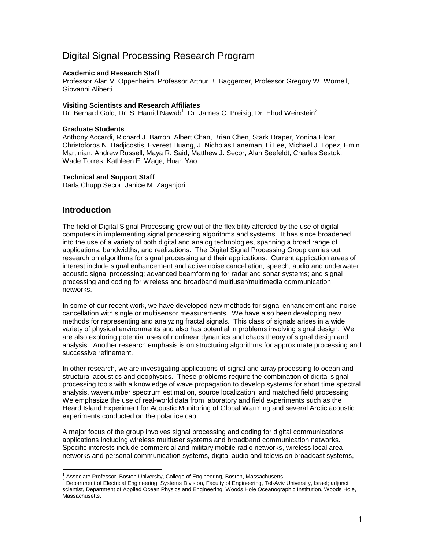# Digital Signal Processing Research Program

#### **Academic and Research Staff**

Professor Alan V. Oppenheim, Professor Arthur B. Baggeroer, Professor Gregory W. Wornell, Giovanni Aliberti

#### **Visiting Scientists and Research Affiliates**

Dr. Bernard Gold, Dr. S. Hamid Nawab<sup>1</sup>, Dr. James C. Preisig, Dr. Ehud Weinstein<sup>2</sup>

#### **Graduate Students**

Anthony Accardi, Richard J. Barron, Albert Chan, Brian Chen, Stark Draper, Yonina Eldar, Christoforos N. Hadjicostis, Everest Huang, J. Nicholas Laneman, Li Lee, Michael J. Lopez, Emin Martinian, Andrew Russell, Maya R. Said, Matthew J. Secor, Alan Seefeldt, Charles Sestok, Wade Torres, Kathleen E. Wage, Huan Yao

#### **Technical and Support Staff**

Darla Chupp Secor, Janice M. Zaganjori

## **Introduction**

The field of Digital Signal Processing grew out of the flexibility afforded by the use of digital computers in implementing signal processing algorithms and systems. It has since broadened into the use of a variety of both digital and analog technologies, spanning a broad range of applications, bandwidths, and realizations. The Digital Signal Processing Group carries out research on algorithms for signal processing and their applications. Current application areas of interest include signal enhancement and active noise cancellation; speech, audio and underwater acoustic signal processing; advanced beamforming for radar and sonar systems; and signal processing and coding for wireless and broadband multiuser/multimedia communication networks.

In some of our recent work, we have developed new methods for signal enhancement and noise cancellation with single or multisensor measurements. We have also been developing new methods for representing and analyzing fractal signals. This class of signals arises in a wide variety of physical environments and also has potential in problems involving signal design. We are also exploring potential uses of nonlinear dynamics and chaos theory of signal design and analysis. Another research emphasis is on structuring algorithms for approximate processing and successive refinement.

In other research, we are investigating applications of signal and array processing to ocean and structural acoustics and geophysics. These problems require the combination of digital signal processing tools with a knowledge of wave propagation to develop systems for short time spectral analysis, wavenumber spectrum estimation, source localization, and matched field processing. We emphasize the use of real-world data from laboratory and field experiments such as the Heard Island Experiment for Acoustic Monitoring of Global Warming and several Arctic acoustic experiments conducted on the polar ice cap.

A major focus of the group involves signal processing and coding for digital communications applications including wireless multiuser systems and broadband communication networks. Specific interests include commercial and military mobile radio networks, wireless local area networks and personal communication systems, digital audio and television broadcast systems,

<sup>&</sup>lt;sup>1</sup> Associate Professor, Boston University, College of Engineering, Boston, Massachusetts.<br><sup>2</sup> Department of Electrical Engineering, Systems Division, Faculty of Engineering, Tel-Aviv University, Israel; adjunct scientist, Department of Applied Ocean Physics and Engineering, Woods Hole Oceanographic Institution, Woods Hole, Massachusetts.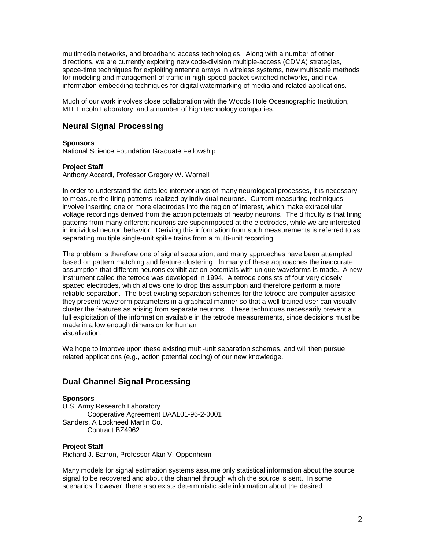multimedia networks, and broadband access technologies. Along with a number of other directions, we are currently exploring new code-division multiple-access (CDMA) strategies, space-time techniques for exploiting antenna arrays in wireless systems, new multiscale methods for modeling and management of traffic in high-speed packet-switched networks, and new information embedding techniques for digital watermarking of media and related applications.

Much of our work involves close collaboration with the Woods Hole Oceanographic Institution, MIT Lincoln Laboratory, and a number of high technology companies.

# **Neural Signal Processing**

#### **Sponsors**

National Science Foundation Graduate Fellowship

#### **Project Staff**

Anthony Accardi, Professor Gregory W. Wornell

In order to understand the detailed interworkings of many neurological processes, it is necessary to measure the firing patterns realized by individual neurons. Current measuring techniques involve inserting one or more electrodes into the region of interest, which make extracellular voltage recordings derived from the action potentials of nearby neurons. The difficulty is that firing patterns from many different neurons are superimposed at the electrodes, while we are interested in individual neuron behavior. Deriving this information from such measurements is referred to as separating multiple single-unit spike trains from a multi-unit recording.

The problem is therefore one of signal separation, and many approaches have been attempted based on pattern matching and feature clustering. In many of these approaches the inaccurate assumption that different neurons exhibit action potentials with unique waveforms is made. A new instrument called the tetrode was developed in 1994. A tetrode consists of four very closely spaced electrodes, which allows one to drop this assumption and therefore perform a more reliable separation. The best existing separation schemes for the tetrode are computer assisted they present waveform parameters in a graphical manner so that a well-trained user can visually cluster the features as arising from separate neurons. These techniques necessarily prevent a full exploitation of the information available in the tetrode measurements, since decisions must be made in a low enough dimension for human visualization.

We hope to improve upon these existing multi-unit separation schemes, and will then pursue related applications (e.g., action potential coding) of our new knowledge.

# **Dual Channel Signal Processing**

#### **Sponsors**

U.S. Army Research Laboratory Cooperative Agreement DAAL01-96-2-0001 Sanders, A Lockheed Martin Co. Contract BZ4962

### **Project Staff**

Richard J. Barron, Professor Alan V. Oppenheim

Many models for signal estimation systems assume only statistical information about the source signal to be recovered and about the channel through which the source is sent. In some scenarios, however, there also exists deterministic side information about the desired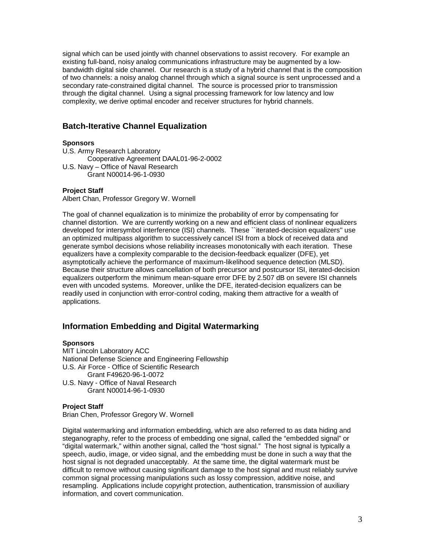signal which can be used jointly with channel observations to assist recovery. For example an existing full-band, noisy analog communications infrastructure may be augmented by a lowbandwidth digital side channel. Our research is a study of a hybrid channel that is the composition of two channels: a noisy analog channel through which a signal source is sent unprocessed and a secondary rate-constrained digital channel. The source is processed prior to transmission through the digital channel. Using a signal processing framework for low latency and low complexity, we derive optimal encoder and receiver structures for hybrid channels.

# **Batch-Iterative Channel Equalization**

### **Sponsors**

U.S. Army Research Laboratory Cooperative Agreement DAAL01-96-2-0002 U.S. Navy – Office of Naval Research Grant N00014-96-1-0930

## **Project Staff**

Albert Chan, Professor Gregory W. Wornell

The goal of channel equalization is to minimize the probability of error by compensating for channel distortion. We are currently working on a new and efficient class of nonlinear equalizers developed for intersymbol interference (ISI) channels. These ``iterated-decision equalizers'' use an optimized multipass algorithm to successively cancel ISI from a block of received data and generate symbol decisions whose reliability increases monotonically with each iteration. These equalizers have a complexity comparable to the decision-feedback equalizer (DFE), yet asymptotically achieve the performance of maximum-likelihood sequence detection (MLSD). Because their structure allows cancellation of both precursor and postcursor ISI, iterated-decision equalizers outperform the minimum mean-square error DFE by 2.507 dB on severe ISI channels even with uncoded systems. Moreover, unlike the DFE, iterated-decision equalizers can be readily used in conjunction with error-control coding, making them attractive for a wealth of applications.

# **Information Embedding and Digital Watermarking**

## **Sponsors**

MIT Lincoln Laboratory ACC National Defense Science and Engineering Fellowship U.S. Air Force - Office of Scientific Research Grant F49620-96-1-0072 U.S. Navy - Office of Naval Research Grant N00014-96-1-0930

## **Project Staff**

Brian Chen, Professor Gregory W. Wornell

Digital watermarking and information embedding, which are also referred to as data hiding and steganography, refer to the process of embedding one signal, called the "embedded signal" or "digital watermark," within another signal, called the "host signal." The host signal is typically a speech, audio, image, or video signal, and the embedding must be done in such a way that the host signal is not degraded unacceptably. At the same time, the digital watermark must be difficult to remove without causing significant damage to the host signal and must reliably survive common signal processing manipulations such as lossy compression, additive noise, and resampling. Applications include copyright protection, authentication, transmission of auxiliary information, and covert communication.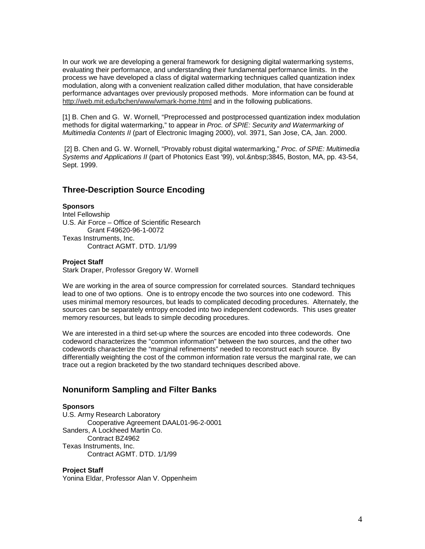In our work we are developing a general framework for designing digital watermarking systems, evaluating their performance, and understanding their fundamental performance limits. In the process we have developed a class of digital watermarking techniques called quantization index modulation, along with a convenient realization called dither modulation, that have considerable performance advantages over previously proposed methods. More information can be found at http://web.mit.edu/bchen/www/wmark-home.html and in the following publications.

[1] B. Chen and G. W. Wornell, "Preprocessed and postprocessed quantization index modulation methods for digital watermarking," to appear in *Proc. of SPIE: Security and Watermarking of Multimedia Contents II* (part of Electronic Imaging 2000), vol. 3971, San Jose, CA, Jan. 2000.

[2] B. Chen and G. W. Wornell, "Provably robust digital watermarking," *Proc. of SPIE: Multimedia* Systems and Applications II (part of Photonics East '99), vol. 3845, Boston, MA, pp. 43-54, Sept. 1999.

## **Three-Description Source Encoding**

#### **Sponsors**

Intel Fellowship U.S. Air Force – Office of Scientific Research Grant F49620-96-1-0072 Texas Instruments, Inc. Contract AGMT. DTD. 1/1/99

#### **Project Staff**

Stark Draper, Professor Gregory W. Wornell

We are working in the area of source compression for correlated sources. Standard techniques lead to one of two options. One is to entropy encode the two sources into one codeword. This uses minimal memory resources, but leads to complicated decoding procedures. Alternately, the sources can be separately entropy encoded into two independent codewords. This uses greater memory resources, but leads to simple decoding procedures.

We are interested in a third set-up where the sources are encoded into three codewords. One codeword characterizes the "common information" between the two sources, and the other two codewords characterize the "marginal refinements" needed to reconstruct each source. By differentially weighting the cost of the common information rate versus the marginal rate, we can trace out a region bracketed by the two standard techniques described above.

## **Nonuniform Sampling and Filter Banks**

#### **Sponsors**

U.S. Army Research Laboratory Cooperative Agreement DAAL01-96-2-0001 Sanders, A Lockheed Martin Co. Contract BZ4962 Texas Instruments, Inc. Contract AGMT. DTD. 1/1/99

#### **Project Staff**

Yonina Eldar, Professor Alan V. Oppenheim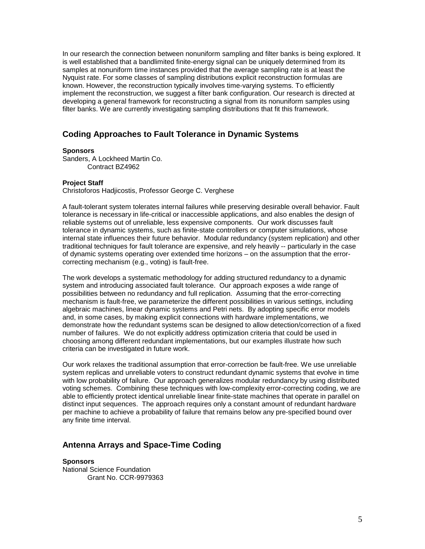In our research the connection between nonuniform sampling and filter banks is being explored. It is well established that a bandlimited finite-energy signal can be uniquely determined from its samples at nonuniform time instances provided that the average sampling rate is at least the Nyquist rate. For some classes of sampling distributions explicit reconstruction formulas are known. However, the reconstruction typically involves time-varying systems. To efficiently implement the reconstruction, we suggest a filter bank configuration. Our research is directed at developing a general framework for reconstructing a signal from its nonuniform samples using filter banks. We are currently investigating sampling distributions that fit this framework.

# **Coding Approaches to Fault Tolerance in Dynamic Systems**

#### **Sponsors**

Sanders, A Lockheed Martin Co. Contract BZ4962

#### **Project Staff**

Christoforos Hadjicostis, Professor George C. Verghese

A fault-tolerant system tolerates internal failures while preserving desirable overall behavior. Fault tolerance is necessary in life-critical or inaccessible applications, and also enables the design of reliable systems out of unreliable, less expensive components. Our work discusses fault tolerance in dynamic systems, such as finite-state controllers or computer simulations, whose internal state influences their future behavior. Modular redundancy (system replication) and other traditional techniques for fault tolerance are expensive, and rely heavily -- particularly in the case of dynamic systems operating over extended time horizons – on the assumption that the errorcorrecting mechanism (e.g., voting) is fault-free.

The work develops a systematic methodology for adding structured redundancy to a dynamic system and introducing associated fault tolerance. Our approach exposes a wide range of possibilities between no redundancy and full replication. Assuming that the error-correcting mechanism is fault-free, we parameterize the different possibilities in various settings, including algebraic machines, linear dynamic systems and Petri nets. By adopting specific error models and, in some cases, by making explicit connections with hardware implementations, we demonstrate how the redundant systems scan be designed to allow detection/correction of a fixed number of failures. We do not explicitly address optimization criteria that could be used in choosing among different redundant implementations, but our examples illustrate how such criteria can be investigated in future work.

Our work relaxes the traditional assumption that error-correction be fault-free. We use unreliable system replicas and unreliable voters to construct redundant dynamic systems that evolve in time with low probability of failure. Our approach generalizes modular redundancy by using distributed voting schemes. Combining these techniques with low-complexity error-correcting coding, we are able to efficiently protect identical unreliable linear finite-state machines that operate in parallel on distinct input sequences. The approach requires only a constant amount of redundant hardware per machine to achieve a probability of failure that remains below any pre-specified bound over any finite time interval.

# **Antenna Arrays and Space-Time Coding**

**Sponsors** National Science Foundation Grant No. CCR-9979363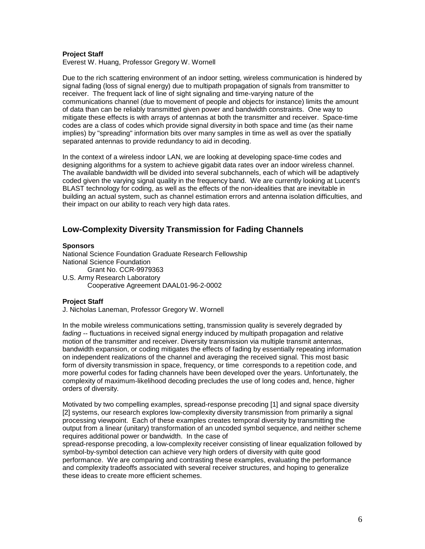#### **Project Staff**

Everest W. Huang, Professor Gregory W. Wornell

Due to the rich scattering environment of an indoor setting, wireless communication is hindered by signal fading (loss of signal energy) due to multipath propagation of signals from transmitter to receiver. The frequent lack of line of sight signaling and time-varying nature of the communications channel (due to movement of people and objects for instance) limits the amount of data than can be reliably transmitted given power and bandwidth constraints. One way to mitigate these effects is with arrays of antennas at both the transmitter and receiver. Space-time codes are a class of codes which provide signal diversity in both space and time (as their name implies) by "spreading" information bits over many samples in time as well as over the spatially separated antennas to provide redundancy to aid in decoding.

In the context of a wireless indoor LAN, we are looking at developing space-time codes and designing algorithms for a system to achieve gigabit data rates over an indoor wireless channel. The available bandwidth will be divided into several subchannels, each of which will be adaptively coded given the varying signal quality in the frequency band. We are currently looking at Lucent's BLAST technology for coding, as well as the effects of the non-idealities that are inevitable in building an actual system, such as channel estimation errors and antenna isolation difficulties, and their impact on our ability to reach very high data rates.

# **Low-Complexity Diversity Transmission for Fading Channels**

#### **Sponsors**

National Science Foundation Graduate Research Fellowship National Science Foundation Grant No. CCR-9979363 U.S. Army Research Laboratory Cooperative Agreement DAAL01-96-2-0002

### **Project Staff**

J. Nicholas Laneman, Professor Gregory W. Wornell

In the mobile wireless communications setting, transmission quality is severely degraded by *fading* -- fluctuations in received signal energy induced by multipath propagation and relative motion of the transmitter and receiver. Diversity transmission via multiple transmit antennas, bandwidth expansion, or coding mitigates the effects of fading by essentially repeating information on independent realizations of the channel and averaging the received signal. This most basic form of diversity transmission in space, frequency, or time corresponds to a repetition code, and more powerful codes for fading channels have been developed over the years. Unfortunately, the complexity of maximum-likelihood decoding precludes the use of long codes and, hence, higher orders of diversity.

Motivated by two compelling examples, spread-response precoding [1] and signal space diversity [2] systems, our research explores low-complexity diversity transmission from primarily a signal processing viewpoint. Each of these examples creates temporal diversity by transmitting the output from a linear (unitary) transformation of an uncoded symbol sequence, and neither scheme requires additional power or bandwidth. In the case of

spread-response precoding, a low-complexity receiver consisting of linear equalization followed by symbol-by-symbol detection can achieve very high orders of diversity with quite good performance. We are comparing and contrasting these examples, evaluating the performance and complexity tradeoffs associated with several receiver structures, and hoping to generalize these ideas to create more efficient schemes.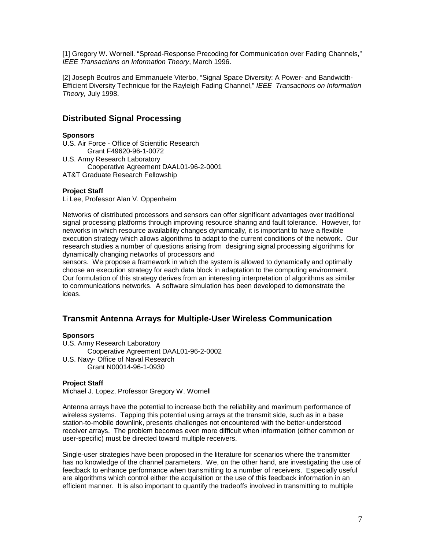[1] Gregory W. Wornell. "Spread-Response Precoding for Communication over Fading Channels," *IEEE Transactions on Information Theory*, March 1996.

[2] Joseph Boutros and Emmanuele Viterbo, "Signal Space Diversity: A Power- and Bandwidth-Efficient Diversity Technique for the Rayleigh Fading Channel," *IEEE Transactions on Information Theory,* July 1998.

# **Distributed Signal Processing**

### **Sponsors**

- U.S. Air Force Office of Scientific Research Grant F49620-96-1-0072 U.S. Army Research Laboratory Cooperative Agreement DAAL01-96-2-0001 AT&T Graduate Research Fellowship
- **Project Staff**

Li Lee, Professor Alan V. Oppenheim

Networks of distributed processors and sensors can offer significant advantages over traditional signal processing platforms through improving resource sharing and fault tolerance. However, for networks in which resource availability changes dynamically, it is important to have a flexible execution strategy which allows algorithms to adapt to the current conditions of the network. Our research studies a number of questions arising from designing signal processing algorithms for dynamically changing networks of processors and

sensors. We propose a framework in which the system is allowed to dynamically and optimally choose an execution strategy for each data block in adaptation to the computing environment. Our formulation of this strategy derives from an interesting interpretation of algorithms as similar to communications networks. A software simulation has been developed to demonstrate the ideas.

# **Transmit Antenna Arrays for Multiple-User Wireless Communication**

### **Sponsors**

U.S. Army Research Laboratory Cooperative Agreement DAAL01-96-2-0002 U.S. Navy- Office of Naval Research Grant N00014-96-1-0930

## **Project Staff**

Michael J. Lopez, Professor Gregory W. Wornell

Antenna arrays have the potential to increase both the reliability and maximum performance of wireless systems. Tapping this potential using arrays at the transmit side, such as in a base station-to-mobile downlink, presents challenges not encountered with the better-understood receiver arrays. The problem becomes even more difficult when information (either common or user-specific) must be directed toward multiple receivers.

Single-user strategies have been proposed in the literature for scenarios where the transmitter has no knowledge of the channel parameters. We, on the other hand, are investigating the use of feedback to enhance performance when transmitting to a number of receivers. Especially useful are algorithms which control either the acquisition or the use of this feedback information in an efficient manner. It is also important to quantify the tradeoffs involved in transmitting to multiple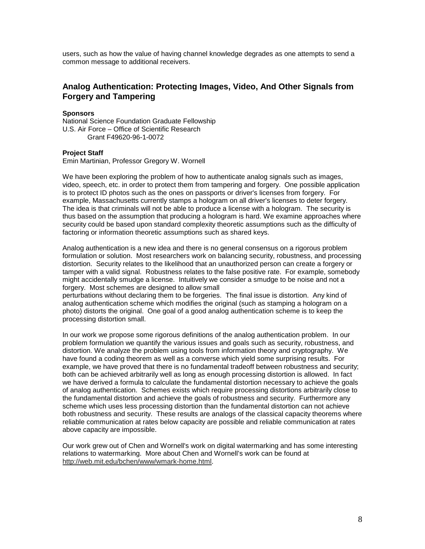users, such as how the value of having channel knowledge degrades as one attempts to send a common message to additional receivers.

# **Analog Authentication: Protecting Images, Video, And Other Signals from Forgery and Tampering**

### **Sponsors**

National Science Foundation Graduate Fellowship U.S. Air Force – Office of Scientific Research Grant F49620-96-1-0072

### **Project Staff**

Emin Martinian, Professor Gregory W. Wornell

We have been exploring the problem of how to authenticate analog signals such as images, video, speech, etc. in order to protect them from tampering and forgery. One possible application is to protect ID photos such as the ones on passports or driver's licenses from forgery. For example, Massachusetts currently stamps a hologram on all driver's licenses to deter forgery. The idea is that criminals will not be able to produce a license with a hologram. The security is thus based on the assumption that producing a hologram is hard. We examine approaches where security could be based upon standard complexity theoretic assumptions such as the difficulty of factoring or information theoretic assumptions such as shared keys.

Analog authentication is a new idea and there is no general consensus on a rigorous problem formulation or solution. Most researchers work on balancing security, robustness, and processing distortion. Security relates to the likelihood that an unauthorized person can create a forgery or tamper with a valid signal. Robustness relates to the false positive rate. For example, somebody might accidentally smudge a license. Intuitively we consider a smudge to be noise and not a forgery. Most schemes are designed to allow small

perturbations without declaring them to be forgeries. The final issue is distortion. Any kind of analog authentication scheme which modifies the original (such as stamping a hologram on a photo) distorts the original. One goal of a good analog authentication scheme is to keep the processing distortion small.

In our work we propose some rigorous definitions of the analog authentication problem. In our problem formulation we quantify the various issues and goals such as security, robustness, and distortion. We analyze the problem using tools from information theory and cryptography. We have found a coding theorem as well as a converse which yield some surprising results. For example, we have proved that there is no fundamental tradeoff between robustness and security; both can be achieved arbitrarily well as long as enough processing distortion is allowed. In fact we have derived a formula to calculate the fundamental distortion necessary to achieve the goals of analog authentication. Schemes exists which require processing distortions arbitrarily close to the fundamental distortion and achieve the goals of robustness and security. Furthermore any scheme which uses less processing distortion than the fundamental distortion can not achieve both robustness and security. These results are analogs of the classical capacity theorems where reliable communication at rates below capacity are possible and reliable communication at rates above capacity are impossible.

Our work grew out of Chen and Wornell's work on digital watermarking and has some interesting relations to watermarking. More about Chen and Wornell's work can be found at http://web.mit.edu/bchen/www/wmark-home.html.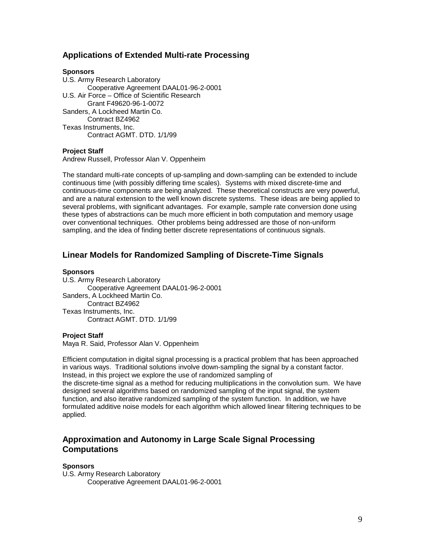# **Applications of Extended Multi-rate Processing**

#### **Sponsors**

U.S. Army Research Laboratory Cooperative Agreement DAAL01-96-2-0001 U.S. Air Force – Office of Scientific Research Grant F49620-96-1-0072 Sanders, A Lockheed Martin Co. Contract BZ4962 Texas Instruments, Inc. Contract AGMT. DTD. 1/1/99

### **Project Staff**

Andrew Russell, Professor Alan V. Oppenheim

The standard multi-rate concepts of up-sampling and down-sampling can be extended to include continuous time (with possibly differing time scales). Systems with mixed discrete-time and continuous-time components are being analyzed. These theoretical constructs are very powerful, and are a natural extension to the well known discrete systems. These ideas are being applied to several problems, with significant advantages. For example, sample rate conversion done using these types of abstractions can be much more efficient in both computation and memory usage over conventional techniques. Other problems being addressed are those of non-uniform sampling, and the idea of finding better discrete representations of continuous signals.

## **Linear Models for Randomized Sampling of Discrete-Time Signals**

#### **Sponsors**

U.S. Army Research Laboratory Cooperative Agreement DAAL01-96-2-0001 Sanders, A Lockheed Martin Co. Contract BZ4962 Texas Instruments, Inc. Contract AGMT. DTD. 1/1/99

#### **Project Staff**

Maya R. Said, Professor Alan V. Oppenheim

Efficient computation in digital signal processing is a practical problem that has been approached in various ways. Traditional solutions involve down-sampling the signal by a constant factor. Instead, in this project we explore the use of randomized sampling of the discrete-time signal as a method for reducing multiplications in the convolution sum. We have designed several algorithms based on randomized sampling of the input signal, the system function, and also iterative randomized sampling of the system function. In addition, we have formulated additive noise models for each algorithm which allowed linear filtering techniques to be applied.

# **Approximation and Autonomy in Large Scale Signal Processing Computations**

#### **Sponsors**

U.S. Army Research Laboratory Cooperative Agreement DAAL01-96-2-0001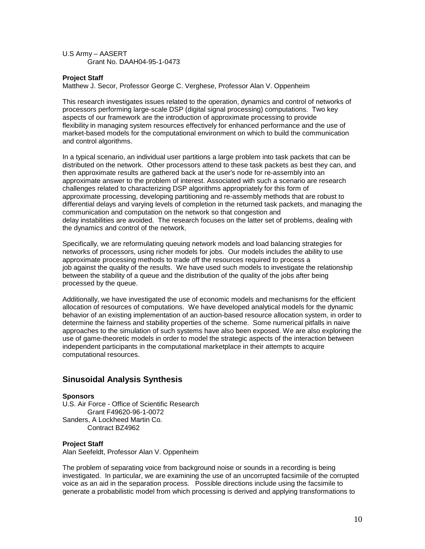### U.S Army – AASERT Grant No. DAAH04-95-1-0473

### **Project Staff**

Matthew J. Secor, Professor George C. Verghese, Professor Alan V. Oppenheim

This research investigates issues related to the operation, dynamics and control of networks of processors performing large-scale DSP (digital signal processing) computations. Two key aspects of our framework are the introduction of approximate processing to provide flexibility in managing system resources effectively for enhanced performance and the use of market-based models for the computational environment on which to build the communication and control algorithms.

In a typical scenario, an individual user partitions a large problem into task packets that can be distributed on the network. Other processors attend to these task packets as best they can, and then approximate results are gathered back at the user's node for re-assembly into an approximate answer to the problem of interest. Associated with such a scenario are research challenges related to characterizing DSP algorithms appropriately for this form of approximate processing, developing partitioning and re-assembly methods that are robust to differential delays and varying levels of completion in the returned task packets, and managing the communication and computation on the network so that congestion and delay instabilities are avoided. The research focuses on the latter set of problems, dealing with the dynamics and control of the network.

Specifically, we are reformulating queuing network models and load balancing strategies for networks of processors, using richer models for jobs. Our models includes the ability to use approximate processing methods to trade off the resources required to process a job against the quality of the results. We have used such models to investigate the relationship between the stability of a queue and the distribution of the quality of the jobs after being processed by the queue.

Additionally, we have investigated the use of economic models and mechanisms for the efficient allocation of resources of computations. We have developed analytical models for the dynamic behavior of an existing implementation of an auction-based resource allocation system, in order to determine the fairness and stability properties of the scheme. Some numerical pitfalls in naive approaches to the simulation of such systems have also been exposed. We are also exploring the use of game-theoretic models in order to model the strategic aspects of the interaction between independent participants in the computational marketplace in their attempts to acquire computational resources.

# **Sinusoidal Analysis Synthesis**

### **Sponsors**

U.S. Air Force - Office of Scientific Research Grant F49620-96-1-0072 Sanders, A Lockheed Martin Co. Contract BZ4962

### **Project Staff**

Alan Seefeldt, Professor Alan V. Oppenheim

The problem of separating voice from background noise or sounds in a recording is being investigated. In particular, we are examining the use of an uncorrupted facsimile of the corrupted voice as an aid in the separation process. Possible directions include using the facsimile to generate a probabilistic model from which processing is derived and applying transformations to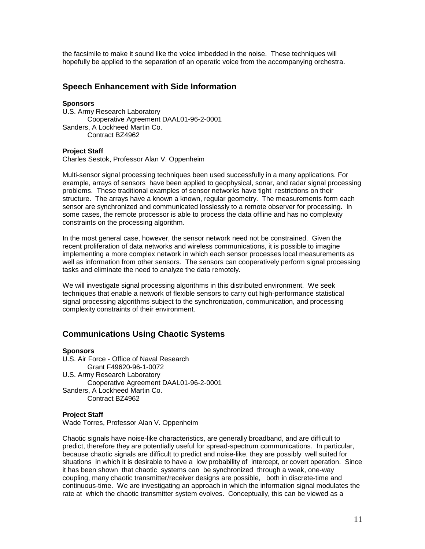the facsimile to make it sound like the voice imbedded in the noise. These techniques will hopefully be applied to the separation of an operatic voice from the accompanying orchestra.

# **Speech Enhancement with Side Information**

#### **Sponsors**

U.S. Army Research Laboratory Cooperative Agreement DAAL01-96-2-0001 Sanders, A Lockheed Martin Co. Contract BZ4962

#### **Project Staff**

Charles Sestok, Professor Alan V. Oppenheim

Multi-sensor signal processing techniques been used successfully in a many applications. For example, arrays of sensors have been applied to geophysical, sonar, and radar signal processing problems. These traditional examples of sensor networks have tight restrictions on their structure. The arrays have a known a known, regular geometry. The measurements form each sensor are synchronized and communicated losslessly to a remote observer for processing. In some cases, the remote processor is able to process the data offline and has no complexity constraints on the processing algorithm.

In the most general case, however, the sensor network need not be constrained. Given the recent proliferation of data networks and wireless communications, it is possible to imagine implementing a more complex network in which each sensor processes local measurements as well as information from other sensors. The sensors can cooperatively perform signal processing tasks and eliminate the need to analyze the data remotely.

We will investigate signal processing algorithms in this distributed environment. We seek techniques that enable a network of flexible sensors to carry out high-performance statistical signal processing algorithms subject to the synchronization, communication, and processing complexity constraints of their environment.

# **Communications Using Chaotic Systems**

**Sponsors** U.S. Air Force - Office of Naval Research Grant F49620-96-1-0072 U.S. Army Research Laboratory Cooperative Agreement DAAL01-96-2-0001 Sanders, A Lockheed Martin Co. Contract BZ4962

#### **Project Staff**

Wade Torres, Professor Alan V. Oppenheim

Chaotic signals have noise-like characteristics, are generally broadband, and are difficult to predict, therefore they are potentially useful for spread-spectrum communications. In particular, because chaotic signals are difficult to predict and noise-like, they are possibly well suited for situations in which it is desirable to have a low probability of intercept, or covert operation. Since it has been shown that chaotic systems can be synchronized through a weak, one-way coupling, many chaotic transmitter/receiver designs are possible, both in discrete-time and continuous-time. We are investigating an approach in which the information signal modulates the rate at which the chaotic transmitter system evolves. Conceptually, this can be viewed as a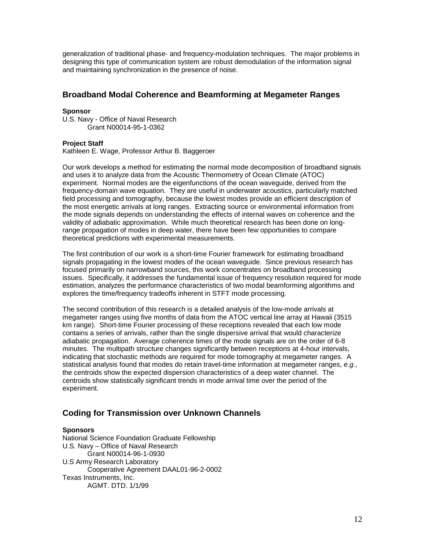generalization of traditional phase- and frequency-modulation techniques. The major problems in designing this type of communication system are robust demodulation of the information signal and maintaining synchronization in the presence of noise.

# **Broadband Modal Coherence and Beamforming at Megameter Ranges**

### **Sponsor**

U.S. Navy - Office of Naval Research Grant N00014-95-1-0362

### **Project Staff**

Kathleen E. Wage, Professor Arthur B. Baggeroer

Our work develops a method for estimating the normal mode decomposition of broadband signals and uses it to analyze data from the Acoustic Thermometry of Ocean Climate (ATOC) experiment. Normal modes are the eigenfunctions of the ocean waveguide, derived from the frequency-domain wave equation. They are useful in underwater acoustics, particularly matched field processing and tomography, because the lowest modes provide an efficient description of the most energetic arrivals at long ranges. Extracting source or environmental information from the mode signals depends on understanding the effects of internal waves on coherence and the validity of adiabatic approximation. While much theoretical research has been done on longrange propagation of modes in deep water, there have been few opportunities to compare theoretical predictions with experimental measurements.

The first contribution of our work is a short-time Fourier framework for estimating broadband signals propagating in the lowest modes of the ocean waveguide. Since previous research has focused primarily on narrowband sources, this work concentrates on broadband processing issues. Specifically, it addresses the fundamental issue of frequency resolution required for mode estimation, analyzes the performance characteristics of two modal beamforming algorithms and explores the time/frequency tradeoffs inherent in STFT mode processing.

The second contribution of this research is a detailed analysis of the low-mode arrivals at megameter ranges using five months of data from the ATOC vertical line array at Hawaii (3515 km range). Short-time Fourier processing of these receptions revealed that each low mode contains a series of arrivals, rather than the single dispersive arrival that would characterize adiabatic propagation. Average coherence times of the mode signals are on the order of 6-8 minutes. The multipath structure changes significantly between receptions at 4-hour intervals, indicating that stochastic methods are required for mode tomography at megameter ranges. A statistical analysis found that modes do retain travel-time information at megameter ranges, *e.g*., the centroids show the expected dispersion characteristics of a deep water channel. The centroids show statistically significant trends in mode arrival time over the period of the experiment.

# **Coding for Transmission over Unknown Channels**

### **Sponsors**

National Science Foundation Graduate Fellowship U.S. Navy – Office of Naval Research Grant N00014-96-1-0930 U.S Army Research Laboratory Cooperative Agreement DAAL01-96-2-0002 Texas Instruments, Inc. AGMT. DTD. 1/1/99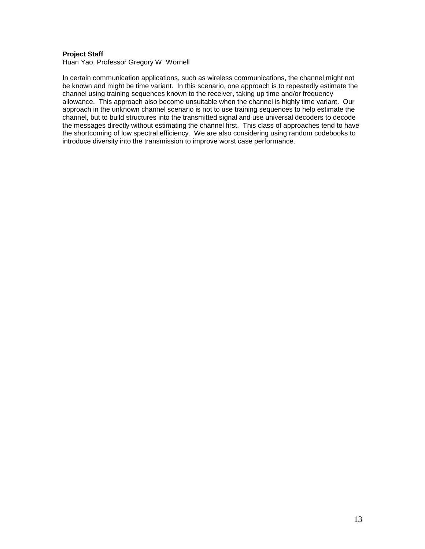### **Project Staff**

Huan Yao, Professor Gregory W. Wornell

In certain communication applications, such as wireless communications, the channel might not be known and might be time variant. In this scenario, one approach is to repeatedly estimate the channel using training sequences known to the receiver, taking up time and/or frequency allowance. This approach also become unsuitable when the channel is highly time variant. Our approach in the unknown channel scenario is not to use training sequences to help estimate the channel, but to build structures into the transmitted signal and use universal decoders to decode the messages directly without estimating the channel first. This class of approaches tend to have the shortcoming of low spectral efficiency. We are also considering using random codebooks to introduce diversity into the transmission to improve worst case performance.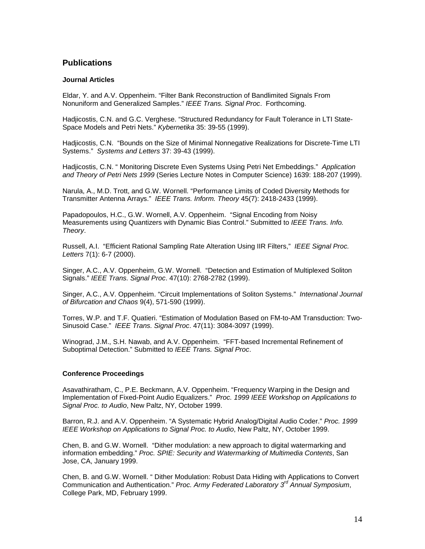# **Publications**

### **Journal Articles**

Eldar, Y. and A.V. Oppenheim. "Filter Bank Reconstruction of Bandlimited Signals From Nonuniform and Generalized Samples." *IEEE Trans. Signal Proc*. Forthcoming.

Hadjicostis, C.N. and G.C. Verghese. "Structured Redundancy for Fault Tolerance in LTI State-Space Models and Petri Nets." *Kybernetika* 35: 39-55 (1999).

Hadjicostis, C.N. "Bounds on the Size of Minimal Nonnegative Realizations for Discrete-Time LTI Systems." *Systems and Letters* 37: 39-43 (1999).

Hadjicostis, C.N. " Monitoring Discrete Even Systems Using Petri Net Embeddings." *Application and Theory of Petri Nets 1999* (Series Lecture Notes in Computer Science) 1639: 188-207 (1999).

Narula, A., M.D. Trott, and G.W. Wornell. "Performance Limits of Coded Diversity Methods for Transmitter Antenna Arrays." *IEEE Trans. Inform. Theory* 45(7): 2418-2433 (1999).

Papadopoulos, H.C., G.W. Wornell, A.V. Oppenheim. "Signal Encoding from Noisy Measurements using Quantizers with Dynamic Bias Control." Submitted to *IEEE Trans. Info. Theory*.

Russell, A.I. "Efficient Rational Sampling Rate Alteration Using IIR Filters," *IEEE Signal Proc. Letters* 7(1): 6-7 (2000).

Singer, A.C., A.V. Oppenheim, G.W. Wornell. "Detection and Estimation of Multiplexed Soliton Signals." *IEEE Trans. Signal Proc*. 47(10): 2768-2782 (1999).

Singer, A.C., A.V. Oppenheim. "Circuit Implementations of Soliton Systems." *International Journal of Bifurcation and Chaos* 9(4), 571-590 (1999).

Torres, W.P. and T.F. Quatieri. "Estimation of Modulation Based on FM-to-AM Transduction: Two-Sinusoid Case." *IEEE Trans. Signal Proc*. 47(11): 3084-3097 (1999).

Winograd, J.M., S.H. Nawab, and A.V. Oppenheim. "FFT-based Incremental Refinement of Suboptimal Detection." Submitted to *IEEE Trans. Signal Proc*.

### **Conference Proceedings**

Asavathiratham, C., P.E. Beckmann, A.V. Oppenheim. "Frequency Warping in the Design and Implementation of Fixed-Point Audio Equalizers." *Proc. 1999 IEEE Workshop on Applications to Signal Proc. to Audio*, New Paltz, NY, October 1999.

Barron, R.J. and A.V. Oppenheim. "A Systematic Hybrid Analog/Digital Audio Coder." *Proc. 1999 IEEE Workshop on Applications to Signal Proc. to Audio*, New Paltz, NY, October 1999.

Chen, B. and G.W. Wornell. "Dither modulation: a new approach to digital watermarking and information embedding." *Proc. SPIE: Security and Watermarking of Multimedia Contents*, San Jose, CA, January 1999.

Chen, B. and G.W. Wornell. " Dither Modulation: Robust Data Hiding with Applications to Convert Communication and Authentication." *Proc. Army Federated Laboratory 3rd Annual Symposium*, College Park, MD, February 1999.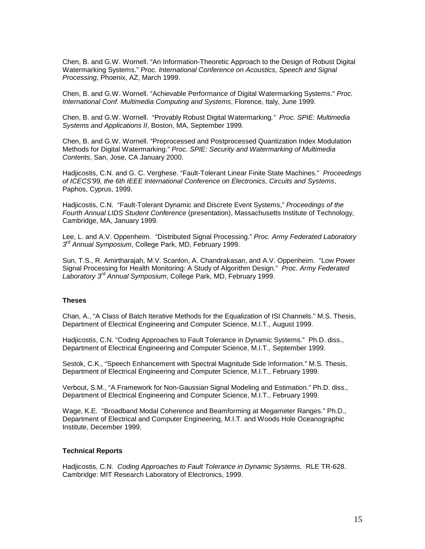Chen, B. and G.W. Wornell. "An Information-Theoretic Approach to the Design of Robust Digital Watermarking Systems." *Proc. International Conference on Acoustics, Speech and Signal Processing*, Phoenix, AZ, March 1999.

Chen, B. and G.W. Wornell. "Achievable Performance of Digital Watermarking Systems." *Proc. International Conf. Multimedia Computing and Systems*, Florence, Italy, June 1999.

Chen, B. and G.W. Wornell. "Provably Robust Digital Watermarking*." Proc. SPIE: Multimedia Systems and Applications II*, Boston, MA, September 1999.

Chen, B. and G.W. Wornell. "Preprocessed and Postprocessed Quantization Index Modulation Methods for Digital Watermarking." *Proc. SPIE: Security and Watermarking of Multimedia Contents*, San, Jose, CA January 2000.

Hadjicostis, C.N. and G. C. Verghese. "Fault-Tolerant Linear Finite State Machines." *Proceedings of ICECS'99, the 6th IEEE International Conference on Electronics, Circuits and Systems*, Paphos, Cyprus, 1999.

Hadjicostis, C.N. "Fault-Tolerant Dynamic and Discrete Event Systems," *Proceedings of the Fourth Annual LIDS Student Conference* (presentation), Massachusetts Institute of Technology, Cambridge, MA, January 1999.

Lee, L. and A.V. Oppenheim. "Distributed Signal Processing." *Proc. Army Federated Laboratory 3rd Annual Symposium*, College Park, MD, February 1999.

Sun, T.S., R. Amirtharajah, M.V. Scanlon, A. Chandrakasan, and A.V. Oppenheim. "Low Power Signal Processing for Health Monitoring: A Study of Algorithm Design." *Proc. Army Federated Laboratory 3rd Annual Symposium*, College Park, MD, February 1999.

### **Theses**

Chan, A., "A Class of Batch Iterative Methods for the Equalization of ISI Channels." M.S. Thesis, Department of Electrical Engineering and Computer Science, M.I.T., August 1999.

Hadjicostis, C.N. "Coding Approaches to Fault Tolerance in Dynamic Systems." Ph.D. diss., Department of Electrical Engineering and Computer Science, M.I.T., September 1999.

Sestok, C.K., "Speech Enhancement with Spectral Magnitude Side Information." M.S. Thesis, Department of Electrical Engineering and Computer Science, M.I.T., February 1999.

Verbout, S.M., "A Framework for Non-Gaussian Signal Modeling and Estimation." Ph.D. diss., Department of Electrical Engineering and Computer Science, M.I.T., February 1999.

Wage, K.E. "Broadband Modal Coherence and Beamforming at Megameter Ranges." Ph.D., Department of Electrical and Computer Engineering, M.I.T. and Woods Hole Oceanographic Institute, December 1999.

#### **Technical Reports**

Hadjicostis, C.N. *Coding Approaches to Fault Tolerance in Dynamic Systems*. RLE TR-628. Cambridge: MIT Research Laboratory of Electronics, 1999.